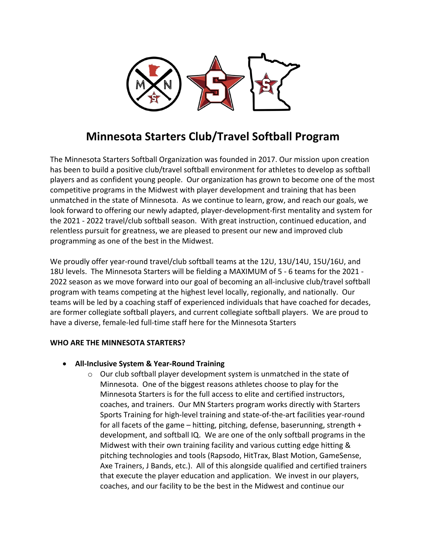

# **Minnesota Starters Club/Travel Softball Program**

The Minnesota Starters Softball Organization was founded in 2017. Our mission upon creation has been to build a positive club/travel softball environment for athletes to develop as softball players and as confident young people. Our organization has grown to become one of the most competitive programs in the Midwest with player development and training that has been unmatched in the state of Minnesota. As we continue to learn, grow, and reach our goals, we look forward to offering our newly adapted, player-development-first mentality and system for the 2021 - 2022 travel/club softball season. With great instruction, continued education, and relentless pursuit for greatness, we are pleased to present our new and improved club programming as one of the best in the Midwest.

We proudly offer year-round travel/club softball teams at the 12U, 13U/14U, 15U/16U, and 18U levels. The Minnesota Starters will be fielding a MAXIMUM of 5 - 6 teams for the 2021 - 2022 season as we move forward into our goal of becoming an all-inclusive club/travel softball program with teams competing at the highest level locally, regionally, and nationally. Our teams will be led by a coaching staff of experienced individuals that have coached for decades, are former collegiate softball players, and current collegiate softball players. We are proud to have a diverse, female-led full-time staff here for the Minnesota Starters

## **WHO ARE THE MINNESOTA STARTERS?**

## • **All-Inclusive System & Year-Round Training**

 $\circ$  Our club softball player development system is unmatched in the state of Minnesota. One of the biggest reasons athletes choose to play for the Minnesota Starters is for the full access to elite and certified instructors, coaches, and trainers. Our MN Starters program works directly with Starters Sports Training for high-level training and state-of-the-art facilities year-round for all facets of the game – hitting, pitching, defense, baserunning, strength + development, and softball IQ. We are one of the only softball programs in the Midwest with their own training facility and various cutting edge hitting & pitching technologies and tools (Rapsodo, HitTrax, Blast Motion, GameSense, Axe Trainers, J Bands, etc.). All of this alongside qualified and certified trainers that execute the player education and application. We invest in our players, coaches, and our facility to be the best in the Midwest and continue our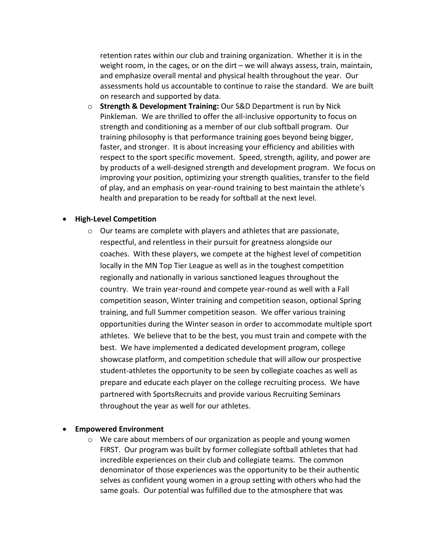retention rates within our club and training organization. Whether it is in the weight room, in the cages, or on the dirt – we will always assess, train, maintain, and emphasize overall mental and physical health throughout the year. Our assessments hold us accountable to continue to raise the standard. We are built on research and supported by data.

o **Strength & Development Training:** Our S&D Department is run by Nick Pinkleman. We are thrilled to offer the all-inclusive opportunity to focus on strength and conditioning as a member of our club softball program. Our training philosophy is that performance training goes beyond being bigger, faster, and stronger. It is about increasing your efficiency and abilities with respect to the sport specific movement. Speed, strength, agility, and power are by products of a well-designed strength and development program. We focus on improving your position, optimizing your strength qualities, transfer to the field of play, and an emphasis on year-round training to best maintain the athlete's health and preparation to be ready for softball at the next level.

#### • **High-Level Competition**

o Our teams are complete with players and athletes that are passionate, respectful, and relentless in their pursuit for greatness alongside our coaches. With these players, we compete at the highest level of competition locally in the MN Top Tier League as well as in the toughest competition regionally and nationally in various sanctioned leagues throughout the country. We train year-round and compete year-round as well with a Fall competition season, Winter training and competition season, optional Spring training, and full Summer competition season. We offer various training opportunities during the Winter season in order to accommodate multiple sport athletes. We believe that to be the best, you must train and compete with the best. We have implemented a dedicated development program, college showcase platform, and competition schedule that will allow our prospective student-athletes the opportunity to be seen by collegiate coaches as well as prepare and educate each player on the college recruiting process. We have partnered with SportsRecruits and provide various Recruiting Seminars throughout the year as well for our athletes.

#### • **Empowered Environment**

 $\circ$  We care about members of our organization as people and young women FIRST. Our program was built by former collegiate softball athletes that had incredible experiences on their club and collegiate teams. The common denominator of those experiences was the opportunity to be their authentic selves as confident young women in a group setting with others who had the same goals. Our potential was fulfilled due to the atmosphere that was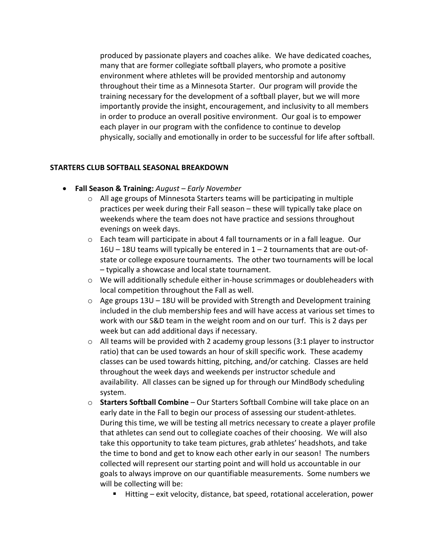produced by passionate players and coaches alike. We have dedicated coaches, many that are former collegiate softball players, who promote a positive environment where athletes will be provided mentorship and autonomy throughout their time as a Minnesota Starter. Our program will provide the training necessary for the development of a softball player, but we will more importantly provide the insight, encouragement, and inclusivity to all members in order to produce an overall positive environment. Our goal is to empower each player in our program with the confidence to continue to develop physically, socially and emotionally in order to be successful for life after softball.

#### **STARTERS CLUB SOFTBALL SEASONAL BREAKDOWN**

- **Fall Season & Training:** *August – Early November*
	- o All age groups of Minnesota Starters teams will be participating in multiple practices per week during their Fall season – these will typically take place on weekends where the team does not have practice and sessions throughout evenings on week days.
	- $\circ$  Each team will participate in about 4 fall tournaments or in a fall league. Our 16U – 18U teams will typically be entered in 1 – 2 tournaments that are out-ofstate or college exposure tournaments. The other two tournaments will be local – typically a showcase and local state tournament.
	- $\circ$  We will additionally schedule either in-house scrimmages or doubleheaders with local competition throughout the Fall as well.
	- o Age groups 13U 18U will be provided with Strength and Development training included in the club membership fees and will have access at various set times to work with our S&D team in the weight room and on our turf. This is 2 days per week but can add additional days if necessary.
	- $\circ$  All teams will be provided with 2 academy group lessons (3:1 player to instructor ratio) that can be used towards an hour of skill specific work. These academy classes can be used towards hitting, pitching, and/or catching. Classes are held throughout the week days and weekends per instructor schedule and availability. All classes can be signed up for through our MindBody scheduling system.
	- o **Starters Softball Combine** Our Starters Softball Combine will take place on an early date in the Fall to begin our process of assessing our student-athletes. During this time, we will be testing all metrics necessary to create a player profile that athletes can send out to collegiate coaches of their choosing. We will also take this opportunity to take team pictures, grab athletes' headshots, and take the time to bond and get to know each other early in our season! The numbers collected will represent our starting point and will hold us accountable in our goals to always improve on our quantifiable measurements. Some numbers we will be collecting will be:
		- Hitting exit velocity, distance, bat speed, rotational acceleration, power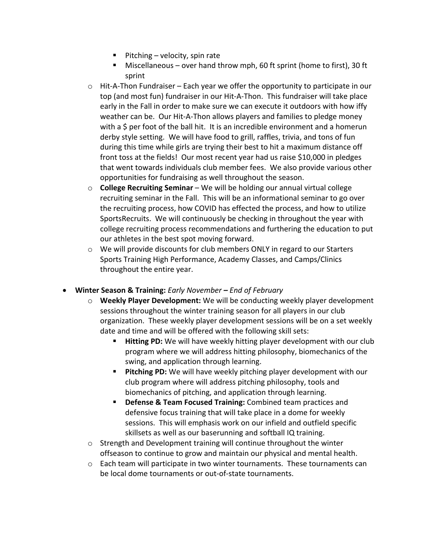- $\blacksquare$  Pitching velocity, spin rate
- Miscellaneous over hand throw mph, 60 ft sprint (home to first), 30 ft sprint
- $\circ$  Hit-A-Thon Fundraiser Each year we offer the opportunity to participate in our top (and most fun) fundraiser in our Hit-A-Thon. This fundraiser will take place early in the Fall in order to make sure we can execute it outdoors with how iffy weather can be. Our Hit-A-Thon allows players and families to pledge money with a \$ per foot of the ball hit. It is an incredible environment and a homerun derby style setting. We will have food to grill, raffles, trivia, and tons of fun during this time while girls are trying their best to hit a maximum distance off front toss at the fields! Our most recent year had us raise \$10,000 in pledges that went towards individuals club member fees. We also provide various other opportunities for fundraising as well throughout the season.
- o **College Recruiting Seminar** We will be holding our annual virtual college recruiting seminar in the Fall. This will be an informational seminar to go over the recruiting process, how COVID has effected the process, and how to utilize SportsRecruits. We will continuously be checking in throughout the year with college recruiting process recommendations and furthering the education to put our athletes in the best spot moving forward.
- $\circ$  We will provide discounts for club members ONLY in regard to our Starters Sports Training High Performance, Academy Classes, and Camps/Clinics throughout the entire year.
- **Winter Season & Training:** *Early November – End of February*
	- o **Weekly Player Development:** We will be conducting weekly player development sessions throughout the winter training season for all players in our club organization. These weekly player development sessions will be on a set weekly date and time and will be offered with the following skill sets:
		- § **Hitting PD:** We will have weekly hitting player development with our club program where we will address hitting philosophy, biomechanics of the swing, and application through learning.
		- **Pitching PD:** We will have weekly pitching player development with our club program where will address pitching philosophy, tools and biomechanics of pitching, and application through learning.
		- § **Defense & Team Focused Training:** Combined team practices and defensive focus training that will take place in a dome for weekly sessions. This will emphasis work on our infield and outfield specific skillsets as well as our baserunning and softball IQ training.
	- o Strength and Development training will continue throughout the winter offseason to continue to grow and maintain our physical and mental health.
	- $\circ$  Each team will participate in two winter tournaments. These tournaments can be local dome tournaments or out-of-state tournaments.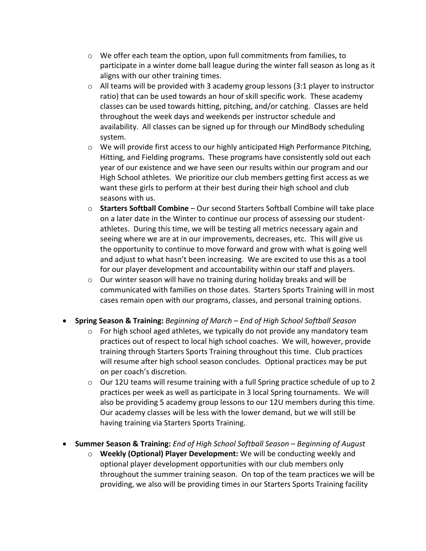- $\circ$  We offer each team the option, upon full commitments from families, to participate in a winter dome ball league during the winter fall season as long as it aligns with our other training times.
- o All teams will be provided with 3 academy group lessons (3:1 player to instructor ratio) that can be used towards an hour of skill specific work. These academy classes can be used towards hitting, pitching, and/or catching. Classes are held throughout the week days and weekends per instructor schedule and availability. All classes can be signed up for through our MindBody scheduling system.
- $\circ$  We will provide first access to our highly anticipated High Performance Pitching, Hitting, and Fielding programs. These programs have consistently sold out each year of our existence and we have seen our results within our program and our High School athletes. We prioritize our club members getting first access as we want these girls to perform at their best during their high school and club seasons with us.
- o **Starters Softball Combine** Our second Starters Softball Combine will take place on a later date in the Winter to continue our process of assessing our studentathletes. During this time, we will be testing all metrics necessary again and seeing where we are at in our improvements, decreases, etc. This will give us the opportunity to continue to move forward and grow with what is going well and adjust to what hasn't been increasing. We are excited to use this as a tool for our player development and accountability within our staff and players.
- o Our winter season will have no training during holiday breaks and will be communicated with families on those dates. Starters Sports Training will in most cases remain open with our programs, classes, and personal training options.
- **Spring Season & Training:** *Beginning of March – End of High School Softball Season*
	- $\circ$  For high school aged athletes, we typically do not provide any mandatory team practices out of respect to local high school coaches. We will, however, provide training through Starters Sports Training throughout this time. Club practices will resume after high school season concludes. Optional practices may be put on per coach's discretion.
	- $\circ$  Our 12U teams will resume training with a full Spring practice schedule of up to 2 practices per week as well as participate in 3 local Spring tournaments. We will also be providing 5 academy group lessons to our 12U members during this time. Our academy classes will be less with the lower demand, but we will still be having training via Starters Sports Training.
- **Summer Season & Training:** *End of High School Softball Season – Beginning of August*
	- o **Weekly (Optional) Player Development:** We will be conducting weekly and optional player development opportunities with our club members only throughout the summer training season. On top of the team practices we will be providing, we also will be providing times in our Starters Sports Training facility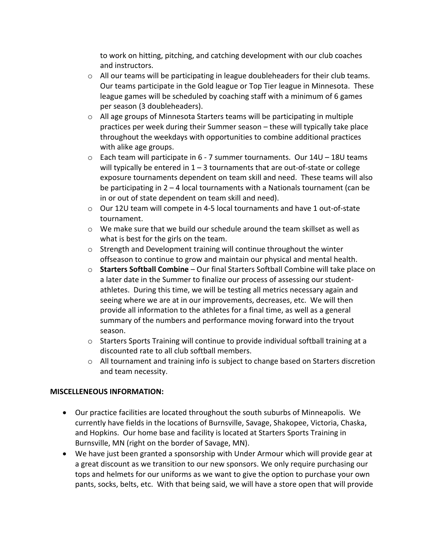to work on hitting, pitching, and catching development with our club coaches and instructors.

- $\circ$  All our teams will be participating in league doubleheaders for their club teams. Our teams participate in the Gold league or Top Tier league in Minnesota. These league games will be scheduled by coaching staff with a minimum of 6 games per season (3 doubleheaders).
- $\circ$  All age groups of Minnesota Starters teams will be participating in multiple practices per week during their Summer season – these will typically take place throughout the weekdays with opportunities to combine additional practices with alike age groups.
- o Each team will participate in 6 7 summer tournaments. Our 14U 18U teams will typically be entered in  $1 - 3$  tournaments that are out-of-state or college exposure tournaments dependent on team skill and need. These teams will also be participating in  $2 - 4$  local tournaments with a Nationals tournament (can be in or out of state dependent on team skill and need).
- o Our 12U team will compete in 4-5 local tournaments and have 1 out-of-state tournament.
- $\circ$  We make sure that we build our schedule around the team skillset as well as what is best for the girls on the team.
- o Strength and Development training will continue throughout the winter offseason to continue to grow and maintain our physical and mental health.
- o **Starters Softball Combine** Our final Starters Softball Combine will take place on a later date in the Summer to finalize our process of assessing our studentathletes. During this time, we will be testing all metrics necessary again and seeing where we are at in our improvements, decreases, etc. We will then provide all information to the athletes for a final time, as well as a general summary of the numbers and performance moving forward into the tryout season.
- o Starters Sports Training will continue to provide individual softball training at a discounted rate to all club softball members.
- $\circ$  All tournament and training info is subject to change based on Starters discretion and team necessity.

## **MISCELLENEOUS INFORMATION:**

- Our practice facilities are located throughout the south suburbs of Minneapolis. We currently have fields in the locations of Burnsville, Savage, Shakopee, Victoria, Chaska, and Hopkins. Our home base and facility is located at Starters Sports Training in Burnsville, MN (right on the border of Savage, MN).
- We have just been granted a sponsorship with Under Armour which will provide gear at a great discount as we transition to our new sponsors. We only require purchasing our tops and helmets for our uniforms as we want to give the option to purchase your own pants, socks, belts, etc. With that being said, we will have a store open that will provide